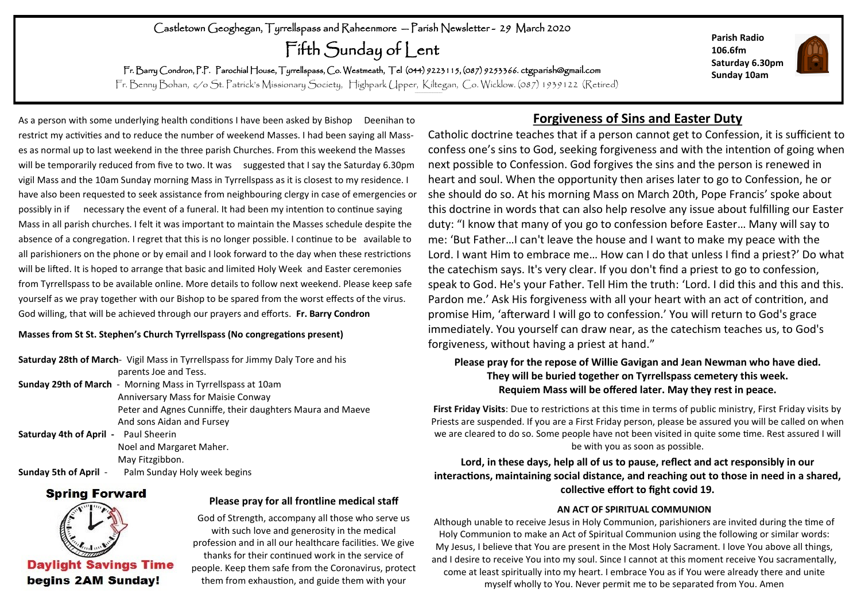## Castletown Geoghegan, Tyrrellspass and Raheenmore — Parish Newsletter - 29 March 2020

Fifth Sunday of Lent

Fr. Barry Condron, P.P. Parochial House, Tyrrellspass, Co. Westmeath, Tel (044) 9223115, (087) 9253366. ctgparish@gmail.com

Fr. Benny Bohan, c/o St. Patrick's Missionary Society, Highpark Upper, Kiltegan, Co. Wicklow. (087) 1939122 (Retired)

As a person with some underlying health conditions I have been asked by Bishop Deenihan to restrict my activities and to reduce the number of weekend Masses. I had been saying all Masses as normal up to last weekend in the three parish Churches. From this weekend the Masses will be temporarily reduced from five to two. It was suggested that I say the Saturday 6.30pm vigil Mass and the 10am Sunday morning Mass in Tyrrellspass as it is closest to my residence. I have also been requested to seek assistance from neighbouring clergy in case of emergencies or possibly in if necessary the event of a funeral. It had been my intention to continue saying Mass in all parish churches. I felt it was important to maintain the Masses schedule despite the absence of a congregation. I regret that this is no longer possible. I continue to be available to all parishioners on the phone or by email and I look forward to the day when these restrictions will be lifted. It is hoped to arrange that basic and limited Holy Week and Easter ceremonies from Tyrrellspass to be available online. More details to follow next weekend. Please keep safe yourself as we pray together with our Bishop to be spared from the worst effects of the virus. God willing, that will be achieved through our prayers and efforts. **Fr. Barry Condron**

#### **Masses from St St. Stephen's Church Tyrrellspass (No congregations present)**

**Saturday 28th of March**- Vigil Mass in Tyrrellspass for Jimmy Daly Tore and his parents Joe and Tess. **Sunday 29th of March** - Morning Mass in Tyrrellspass at 10am Anniversary Mass for Maisie Conway Peter and Agnes Cunniffe, their daughters Maura and Maeve And sons Aidan and Fursey **Saturday 4th of April -** Paul Sheerin Noel and Margaret Maher. May Fitzgibbon. **Sunday 5th of April -** Palm Sunday Holy week begins

### **Spring Forward**



**Daylight Savings Time** begins 2AM Sunday!

#### **Please pray for all frontline medical staff**

God of Strength, accompany all those who serve us with such love and generosity in the medical profession and in all our healthcare facilities. We give thanks for their continued work in the service of people. Keep them safe from the Coronavirus, protect them from exhaustion, and guide them with your

## **Forgiveness of Sins and Easter Duty**

Catholic doctrine teaches that if a person cannot get to Confession, it is sufficient to confess one's sins to God, seeking forgiveness and with the intention of going when next possible to Confession. God forgives the sins and the person is renewed in heart and soul. When the opportunity then arises later to go to Confession, he or she should do so. At his morning Mass on March 20th, Pope Francis' spoke about this doctrine in words that can also help resolve any issue about fulfilling our Easter duty: "I know that many of you go to confession before Easter… Many will say to me: 'But Father…I can't leave the house and I want to make my peace with the Lord. I want Him to embrace me… How can I do that unless I find a priest?' Do what the catechism says. It's very clear. If you don't find a priest to go to confession, speak to God. He's your Father. Tell Him the truth: 'Lord. I did this and this and this. Pardon me.' Ask His forgiveness with all your heart with an act of contrition, and promise Him, 'afterward I will go to confession.' You will return to God's grace immediately. You yourself can draw near, as the catechism teaches us, to God's forgiveness, without having a priest at hand."

### **Please pray for the repose of Willie Gavigan and Jean Newman who have died. They will be buried together on Tyrrellspass cemetery this week. Requiem Mass will be offered later. May they rest in peace.**

**First Friday Visits**: Due to restrictions at this time in terms of public ministry, First Friday visits by Priests are suspended. If you are a First Friday person, please be assured you will be called on when we are cleared to do so. Some people have not been visited in quite some time. Rest assured I will be with you as soon as possible.

### **Lord, in these days, help all of us to pause, reflect and act responsibly in our interactions, maintaining social distance, and reaching out to those in need in a shared, collective effort to fight covid 19.**

#### **AN ACT OF SPIRITUAL COMMUNION**

Although unable to receive Jesus in Holy Communion, parishioners are invited during the time of Holy Communion to make an Act of Spiritual Communion using the following or similar words: My Jesus, I believe that You are present in the Most Holy Sacrament. I love You above all things, and I desire to receive You into my soul. Since I cannot at this moment receive You sacramentally, come at least spiritually into my heart. I embrace You as if You were already there and unite myself wholly to You. Never permit me to be separated from You. Amen



**Parish Radio 106.6fm**